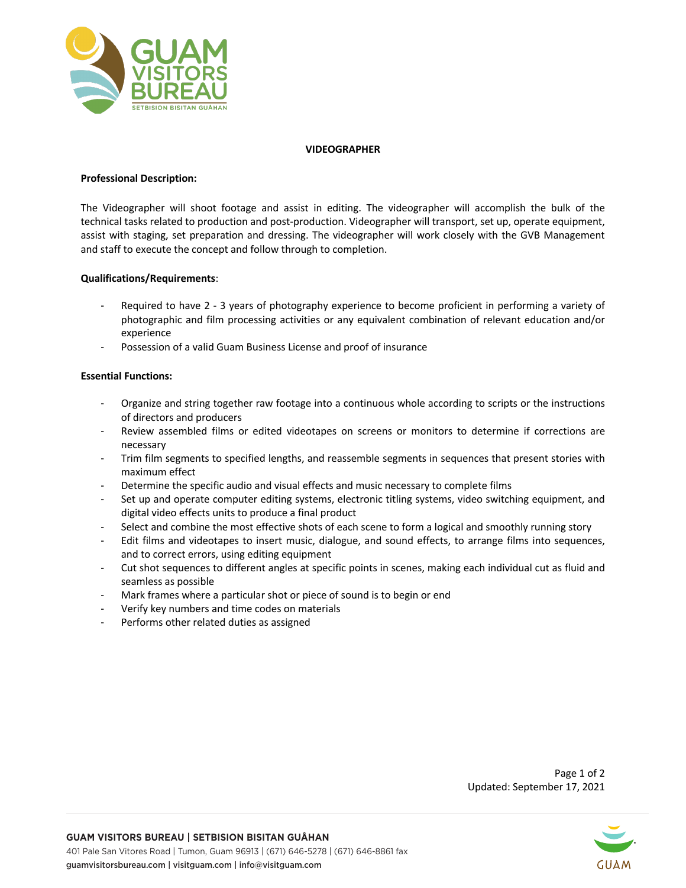

### **VIDEOGRAPHER**

# **Professional Description:**

The Videographer will shoot footage and assist in editing. The videographer will accomplish the bulk of the technical tasks related to production and post-production. Videographer will transport, set up, operate equipment, assist with staging, set preparation and dressing. The videographer will work closely with the GVB Management and staff to execute the concept and follow through to completion.

## **Qualifications/Requirements**:

- Required to have 2 3 years of photography experience to become proficient in performing a variety of photographic and film processing activities or any equivalent combination of relevant education and/or experience
- Possession of a valid Guam Business License and proof of insurance

# **Essential Functions:**

- Organize and string together raw footage into a continuous whole according to scripts or the instructions of directors and producers
- Review assembled films or edited videotapes on screens or monitors to determine if corrections are necessary
- Trim film segments to specified lengths, and reassemble segments in sequences that present stories with maximum effect
- Determine the specific audio and visual effects and music necessary to complete films
- Set up and operate computer editing systems, electronic titling systems, video switching equipment, and digital video effects units to produce a final product
- Select and combine the most effective shots of each scene to form a logical and smoothly running story
- Edit films and videotapes to insert music, dialogue, and sound effects, to arrange films into sequences, and to correct errors, using editing equipment
- Cut shot sequences to different angles at specific points in scenes, making each individual cut as fluid and seamless as possible
- Mark frames where a particular shot or piece of sound is to begin or end
- Verify key numbers and time codes on materials
- Performs other related duties as assigned